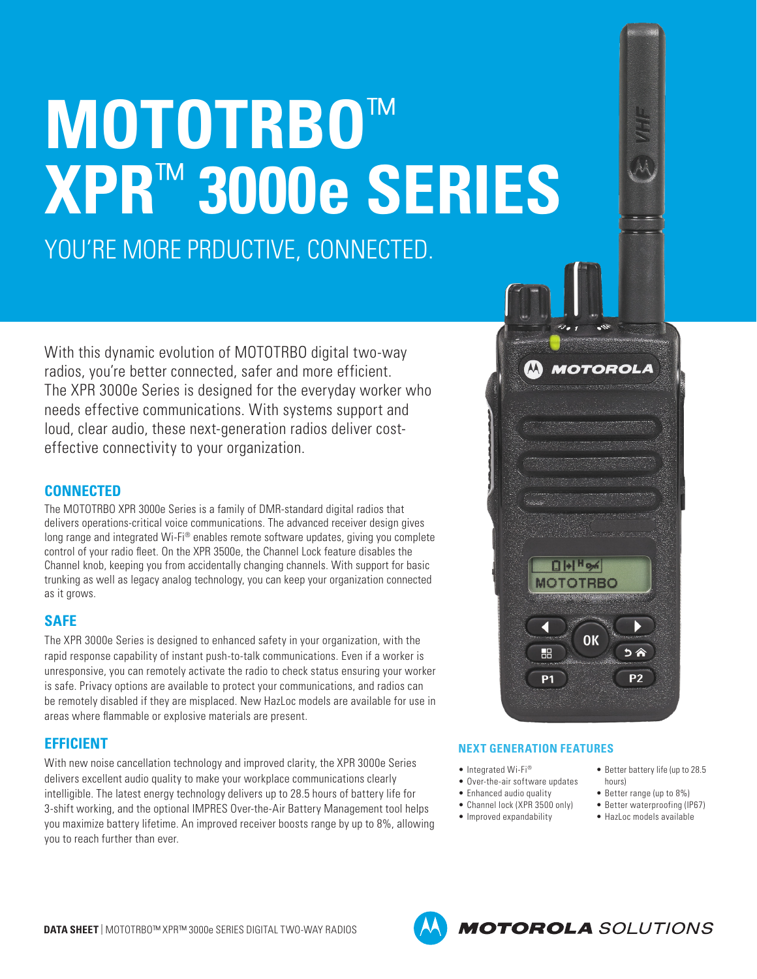# **MOTOTRBO**™ **XPR**™ **3000e SERIES** YOU'RE MORE PRDUCTIVE, CONNECTED.

With this dynamic evolution of MOTOTRBO digital two-way radios, you're better connected, safer and more efficient. The XPR 3000e Series is designed for the everyday worker who needs effective communications. With systems support and loud, clear audio, these next-generation radios deliver costeffective connectivity to your organization.

# **CONNECTED**

The MOTOTRBO XPR 3000e Series is a family of DMR-standard digital radios that delivers operations-critical voice communications. The advanced receiver design gives long range and integrated Wi-Fi® enables remote software updates, giving you complete control of your radio fleet. On the XPR 3500e, the Channel Lock feature disables the Channel knob, keeping you from accidentally changing channels. With support for basic trunking as well as legacy analog technology, you can keep your organization connected as it grows.

## **SAFE**

The XPR 3000e Series is designed to enhanced safety in your organization, with the rapid response capability of instant push-to-talk communications. Even if a worker is unresponsive, you can remotely activate the radio to check status ensuring your worker is safe. Privacy options are available to protect your communications, and radios can be remotely disabled if they are misplaced. New HazLoc models are available for use in areas where flammable or explosive materials are present.

# **EFFICIENT**

With new noise cancellation technology and improved clarity, the XPR 3000e Series delivers excellent audio quality to make your workplace communications clearly intelligible. The latest energy technology delivers up to 28.5 hours of battery life for 3-shift working, and the optional IMPRES Over-the-Air Battery Management tool helps you maximize battery lifetime. An improved receiver boosts range by up to 8%, allowing you to reach further than ever.



### **NEXT GENERATION FEATURES**

- Integrated Wi-Fi®
- Over-the-air software updates
- Enhanced audio quality
- Channel lock (XPR 3500 only)
- Improved expandability
- Better battery life (up to 28.5 hours)
- Better range (up to 8%)
- Better waterproofing (IP67)
- HazLoc models available



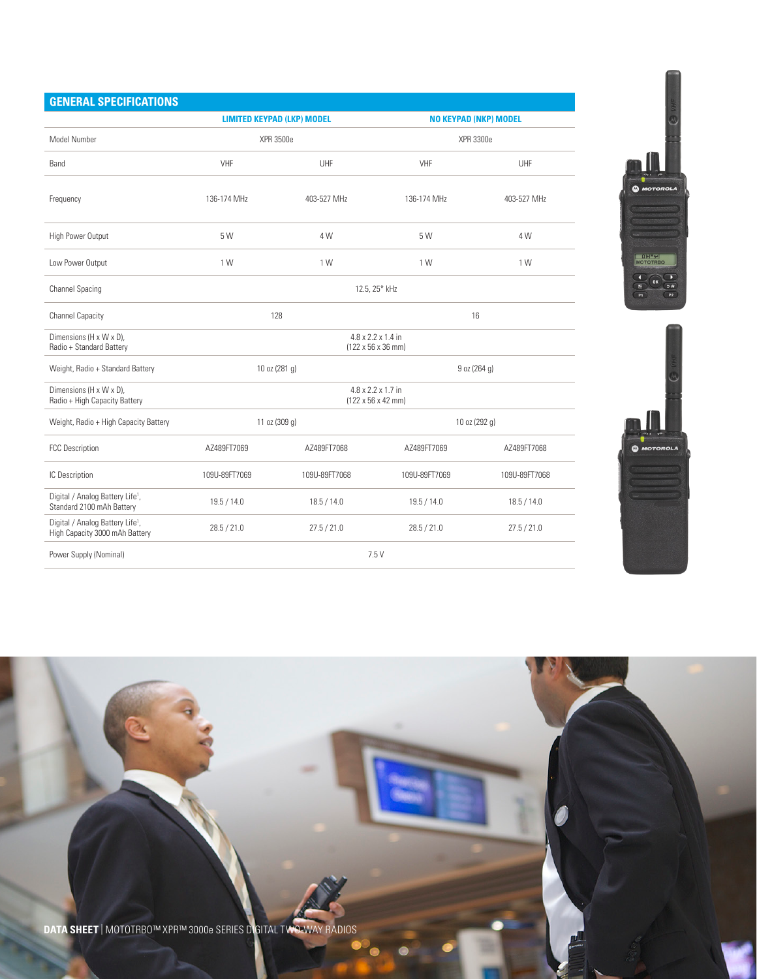| <b>GENERAL SPECIFICATIONS</b>                                                  |                                                                          |                                   |                              |               |  |  |  |
|--------------------------------------------------------------------------------|--------------------------------------------------------------------------|-----------------------------------|------------------------------|---------------|--|--|--|
|                                                                                |                                                                          | <b>LIMITED KEYPAD (LKP) MODEL</b> | <b>NO KEYPAD (NKP) MODEL</b> |               |  |  |  |
| Model Number                                                                   |                                                                          | <b>XPR 3500e</b>                  | <b>XPR 3300e</b>             |               |  |  |  |
| Band                                                                           | VHF                                                                      | UHF                               | VHF                          | UHF           |  |  |  |
| Frequency                                                                      | 136-174 MHz                                                              | 403-527 MHz                       | 136-174 MHz                  | 403-527 MHz   |  |  |  |
| High Power Output                                                              | 5 W                                                                      | 4 W                               | 5 W                          | 4 W           |  |  |  |
| Low Power Output                                                               | 1 W                                                                      | 1 W                               | 1 W                          | 1 W           |  |  |  |
| <b>Channel Spacing</b>                                                         | 12.5, 25* kHz                                                            |                                   |                              |               |  |  |  |
| <b>Channel Capacity</b>                                                        |                                                                          | 128                               | 16                           |               |  |  |  |
| Dimensions (H x W x D),<br>Radio + Standard Battery                            | 4.8 x 2.2 x 1.4 in<br>$(122 \times 56 \times 36 \text{ mm})$             |                                   |                              |               |  |  |  |
| Weight, Radio + Standard Battery                                               |                                                                          | 10 oz (281 g)                     | 9 oz (264 g)                 |               |  |  |  |
| Dimensions (H x W x D),<br>Radio + High Capacity Battery                       | $4.8 \times 2.2 \times 1.7$ in<br>$(122 \times 56 \times 42 \text{ mm})$ |                                   |                              |               |  |  |  |
| Weight, Radio + High Capacity Battery                                          |                                                                          | 11 oz (309 g)                     | 10 oz (292 g)                |               |  |  |  |
| <b>FCC Description</b>                                                         | AZ489FT7069<br>AZ489FT7068<br>AZ489FT7069                                |                                   |                              | AZ489FT7068   |  |  |  |
| IC Description                                                                 | 109U-89FT7069                                                            | 109U-89FT7068                     | 109U-89FT7069                | 109U-89FT7068 |  |  |  |
| Digital / Analog Battery Life <sup>1</sup> ,<br>Standard 2100 mAh Battery      | 19.5 / 14.0                                                              | 18.5 / 14.0                       | 19.5 / 14.0                  | 18.5 / 14.0   |  |  |  |
| Digital / Analog Battery Life <sup>1</sup> ,<br>High Capacity 3000 mAh Battery | 28.5 / 21.0                                                              | 27.5 / 21.0                       | 28.5 / 21.0                  | 27.5 / 21.0   |  |  |  |
| Power Supply (Nominal)                                                         | 7.5 V                                                                    |                                   |                              |               |  |  |  |





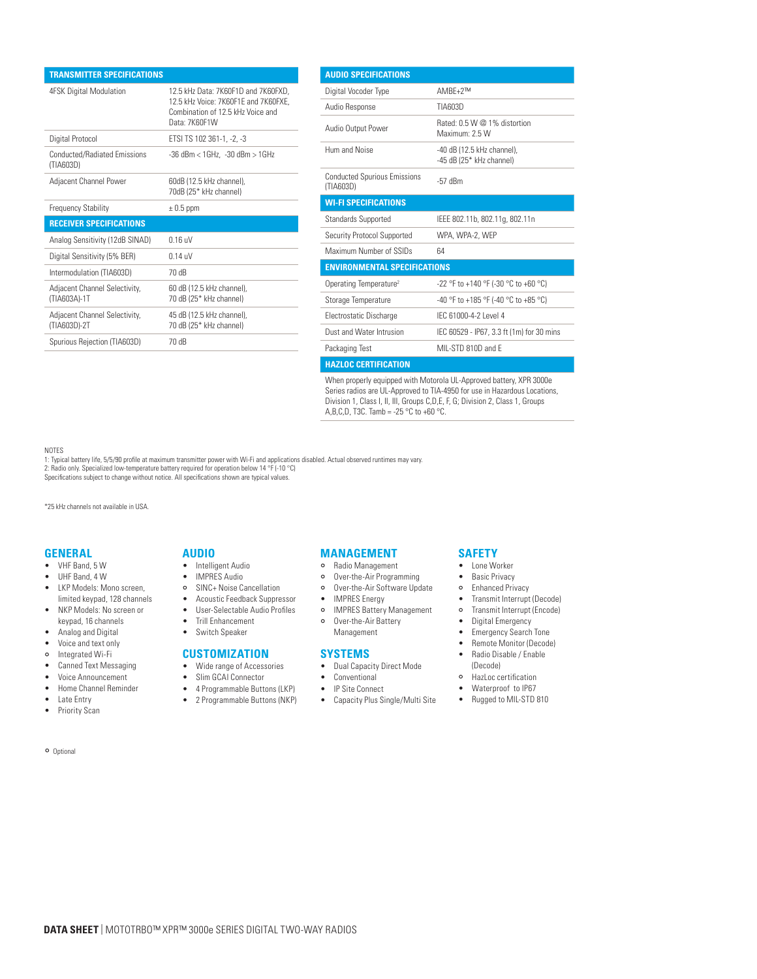| <b>TRANSMITTER SPECIFICATIONS</b>                |                                                                                                                                   |
|--------------------------------------------------|-----------------------------------------------------------------------------------------------------------------------------------|
| <b>4FSK Digital Modulation</b>                   | 12.5 kHz Data: 7K60F1D and 7K60FXD,<br>12.5 kHz Voice: 7K60F1E and 7K60FXE.<br>Combination of 12.5 kHz Voice and<br>Data: 7K60F1W |
| Digital Protocol                                 | ETSI TS 102 361-1, -2, -3                                                                                                         |
| <b>Conducted/Radiated Emissions</b><br>(TIA603D) | $-36$ dBm < $1$ GHz. $-30$ dBm > $1$ GHz                                                                                          |
| Adjacent Channel Power                           | 60dB (12.5 kHz channel),<br>70dB (25* kHz channel)                                                                                |
| <b>Frequency Stability</b>                       | $\pm$ 0.5 ppm                                                                                                                     |
| <b>RECEIVER SPECIFICATIONS</b>                   |                                                                                                                                   |
| Analog Sensitivity (12dB SINAD)                  | $0.16$ uV                                                                                                                         |
| Digital Sensitivity (5% BER)                     | $0.14$ uV                                                                                                                         |
| Intermodulation (TIA603D)                        | 70 dB                                                                                                                             |
| Adjacent Channel Selectivity,<br>(TIA603A)-1T    | 60 dB (12.5 kHz channel),<br>70 dB (25* kHz channel)                                                                              |
| Adjacent Channel Selectivity,<br>(TIA603D)-2T    | 45 dB (12.5 kHz channel),<br>70 dB (25* kHz channel)                                                                              |
| Spurious Rejection (TIA603D)                     | 70 dB                                                                                                                             |
|                                                  |                                                                                                                                   |

| <b>AUDIO SPECIFICATIONS</b>                      |                                                        |  |  |  |  |
|--------------------------------------------------|--------------------------------------------------------|--|--|--|--|
| Digital Vocoder Type                             | $AMBF+2^{TM}$                                          |  |  |  |  |
| Audio Response                                   | TIA603D                                                |  |  |  |  |
| Audio Output Power                               | Rated: 0.5 W @ 1% distortion<br>Maximum: 2.5 W         |  |  |  |  |
| Hum and Noise                                    | -40 dB (12.5 kHz channel).<br>-45 dB (25* kHz channel) |  |  |  |  |
| <b>Conducted Spurious Emissions</b><br>(TIA603D) | $-57$ dBm                                              |  |  |  |  |
| <b>WI-FI SPECIFICATIONS</b>                      |                                                        |  |  |  |  |
| <b>Standards Supported</b>                       | IEEE 802.11b, 802.11g, 802.11n                         |  |  |  |  |
| Security Protocol Supported                      | WPA, WPA-2, WEP                                        |  |  |  |  |
| Maximum Number of SSIDs                          | 64                                                     |  |  |  |  |
| <b>ENVIRONMENTAL SPECIFICATIONS</b>              |                                                        |  |  |  |  |
| Operating Temperature <sup>2</sup>               | -22 °F to +140 °F (-30 °C to +60 °C)                   |  |  |  |  |
| Storage Temperature                              | -40 °F to +185 °F (-40 °C to +85 °C)                   |  |  |  |  |
| Electrostatic Discharge                          | IFC 61000-4-2 Level 4                                  |  |  |  |  |
| Dust and Water Intrusion                         | IEC 60529 - IP67, 3.3 ft (1m) for 30 mins              |  |  |  |  |
| Packaging Test                                   | MIL-STD 810D and F                                     |  |  |  |  |
| <b>HAZLOC CERTIFICATION</b>                      |                                                        |  |  |  |  |

When properly equipped with Motorola UL-Approved battery, XPR 3000e Series radios are UL-Approved to TIA-4950 for use in Hazardous Locations, Division 1, Class I, II, III, Groups C,D,E, F, G; Division 2, Class 1, Groups A,B,C,D, T3C. Tamb = -25 °C to +60 °C.

#### NOTES

1: Typical battery life, 5/5/90 profile at maximum transmitter power with Wi-Fi and applications disabled. Actual observed runtimes may vary. 2: Radio only. Specialized low-temperature battery required for operation below 14 °F (-10 °C)

Specifications subject to change without notice. All specifications shown are typical values.

\*25 kHz channels not available in USA.

#### **GENERAL**

- VHF Band, 5 W
- UHF Band, 4 W
- LKP Models: Mono screen, limited keypad, 128 channels
- NKP Models: No screen or keypad, 16 channels
- Analog and Digital
- Voice and text only
- Integrated Wi-Fi
- Canned Text Messaging
- Voice Announcement
- Home Channel Reminder
- Late Entry
- Priority Scan

Optional

#### **AUDIO**

- Intelligent Audio
- IMPRES Audio
- SINC+ Noise Cancellation
- Acoustic Feedback Suppressor • User-Selectable Audio Profiles
- 
- Trill Enhancement • Switch Speaker

- **CUSTOMIZATION**
- Wide range of Accessories
- Slim GCAI Connector
- 4 Programmable Buttons (LKP)
- 2 Programmable Buttons (NKP)

# **MANAGEMENT**

- Radio Management
- Over-the-Air Programming
- o Over-the-Air Software Update
- IMPRES Energy
- o IMPRES Battery Management Over-the-Air Battery
- Management

#### **SYSTEMS**

- Dual Capacity Direct Mode
- Conventional
- IP Site Connect
- Capacity Plus Single/Multi Site

#### **SAFETY**

- Lone Worker
- Basic Privacy
- Enhanced Privacy
- Transmit Interrupt (Decode)
- Transmit Interrupt (Encode)
- Digital Emergency
- Emergency Search Tone
- Remote Monitor (Decode)
- Radio Disable / Enable (Decode)
- HazLoc certification
- Waterproof to IP67
- Rugged to MIL-STD 810